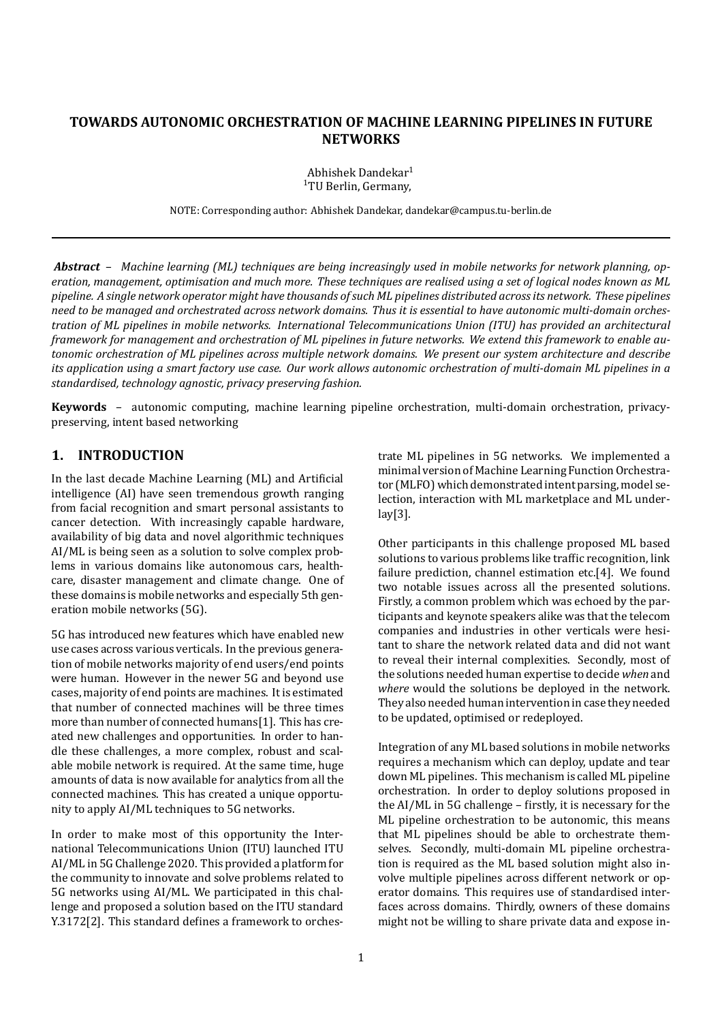# **TOWARDS AUTONOMIC ORCHESTRATION OF MACHINE LEARNING PIPELINES IN FUTURE NETWORKS**

Abhishek Dandekar1 1TU Berlin, Germany,

NOTE: Corresponding author: Abhishek Dandekar, dandekar@campus.tu‐berlin.de

*Abstract* – *Machine learning (ML) techniques are being increasingly used in mobile networks for network planning, op‐ eration, management, optimisation and much more. These techniques are realised using a set of logical nodes known as ML pipeline. A single network operator might have thousands of such ML pipelines distributed across its network. These pipelines need to be managed and orchestrated across network domains. Thus it is essential to have autonomic multi‐domain orches‐ tration of ML pipelines in mobile networks. International Telecommunications Union (ITU) has provided an architectural framework for management and orchestration of ML pipelines in future networks. We extend this framework to enable au‐ tonomic orchestration of ML pipelines across multiple network domains. We present our system architecture and describe its application using a smart factory use case. Our work allows autonomic orchestration of multi‐domain ML pipelines in a standardised, technology agnostic, privacy preserving fashion.*

**Keywords** – autonomic computing, machine learning pipeline orchestration, multi-domain orchestration, privacypreserving, intent based networking

### **1. INTRODUCTION**

In the last decade Machine Learning (ML) and Artificial intelligence (AI) have seen tremendous growth ranging from facial recognition and smart personal assistants to cancer detection. With increasingly capable hardware, availability of big data and novel algorithmic techniques AI/ML is being seen as a solution to solve complex prob‐ lems in various domains like autonomous cars, health‐ care, disaster management and climate change. One of these domains is mobile networks and especially 5th gen‐ eration mobile networks (5G).

5G has introduced new features which have enabled new use cases across various verticals. In the previous genera‐ tion of mobile networks majority of end users/end points were human. However in the newer 5G and beyond use cases, majority of end points are machines. It is estimated that number of connected machines will be three times more than number of connected humans[1]. This has created new challenges and opportunities. In order to han‐ dle these challenges, a more complex, robust and scal‐ able mobile network is required. At the same time, huge amounts of data is now available for analytics from all the connected machines. This has created a unique opportu‐ nity to apply AI/ML techniques to 5G networks.

In order to make most of this opportunity the Inter‐ national Telecommunications Union (ITU) launched ITU AI/ML in 5G Challenge 2020. This provided a platform for the community to innovate and solve problems related to 5G networks using AI/ML. We participated in this chal‐ lenge and proposed a solution based on the ITU standard Y.3172[2]. This standard defines a framework to orchestrate ML pipelines in 5G networks. We implemented a minimal version of Machine Learning Function Orchestra‐ tor (MLFO) which demonstrated intent parsing, model selection, interaction with ML marketplace and ML under‐ lay[3].

Other participants in this challenge proposed ML based solutions to various problems like traffic recognition, link failure prediction, channel estimation etc.[4]. We found two notable issues across all the presented solutions. Firstly, a common problem which was echoed by the par‐ ticipants and keynote speakers alike was that the telecom companies and industries in other verticals were hesi‐ tant to share the network related data and did not want to reveal their internal complexities. Secondly, most of the solutions needed human expertise to decide *when* and *where* would the solutions be deployed in the network. They also needed human intervention in case they needed to be updated, optimised or redeployed.

Integration of any ML based solutions in mobile networks requires a mechanism which can deploy, update and tear down ML pipelines. This mechanism is called ML pipeline orchestration. In order to deploy solutions proposed in the  $AI/ML$  in 5G challenge – firstly, it is necessary for the ML pipeline orchestration to be autonomic, this means that ML pipelines should be able to orchestrate them‐ selves. Secondly, multi-domain ML pipeline orchestration is required as the ML based solution might also in‐ volve multiple pipelines across different network or op‐ erator domains. This requires use of standardised inter‐ faces across domains. Thirdly, owners of these domains might not be willing to share private data and expose in‐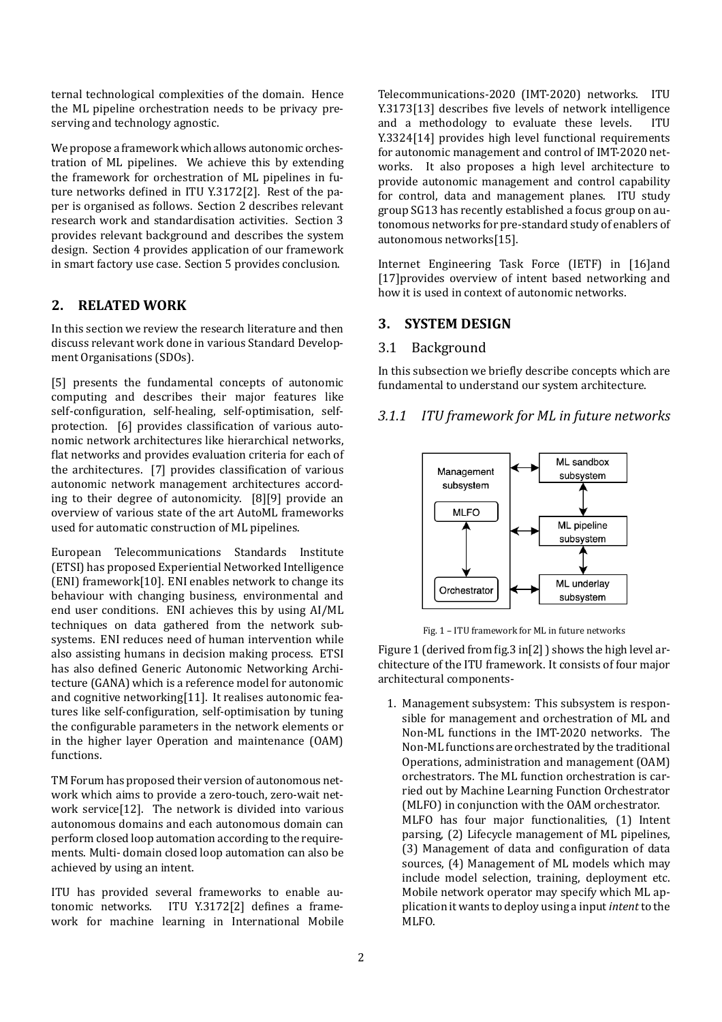ternal technological complexities of the domain. Hence the ML pipeline orchestration needs to be privacy pre‐ serving and technology agnostic.

We propose a framework which allows autonomic orchestration of ML pipelines. We achieve this by extending the framework for orchestration of ML pipelines in fu‐ ture networks defined in ITU Y.3172[2]. Rest of the paper is organised as follows. Section 2 describes relevant research work and standardisation activities. Section 3 provides relevant background and describes the system design. Section 4 provides application of our framework in smart factory use case. Section 5 provides conclusion.

### **2. RELATED WORK**

In this section we review the research literature and then discuss relevant work done in various Standard Develop‐ ment Organisations (SDOs).

[5] presents the fundamental concepts of autonomic computing and describes their major features like self-configuration, self-healing, self-optimisation, selfprotection. [6] provides classification of various autonomic network architectures like hierarchical networks, flat networks and provides evaluation criteria for each of the architectures. [7] provides classification of various autonomic network management architectures accord‐ ing to their degree of autonomicity. [8][9] provide an overview of various state of the art AutoML frameworks used for automatic construction of ML pipelines.

European Telecommunications Standards Institute (ETSI) has proposed Experiential Networked Intelligence (ENI) framework[10]. ENI enables network to change its behaviour with changing business, environmental and end user conditions. ENI achieves this by using AI/ML techniques on data gathered from the network sub‐ systems. ENI reduces need of human intervention while also assisting humans in decision making process. ETSI has also defined Generic Autonomic Networking Architecture (GANA) which is a reference model for autonomic and cognitive networking[11]. It realises autonomic features like self-configuration, self-optimisation by tuning the configurable parameters in the network elements or in the higher layer Operation and maintenance (OAM) functions.

TM Forum has proposed their version of autonomous net‐ work which aims to provide a zero-touch, zero-wait network service[12]. The network is divided into various autonomous domains and each autonomous domain can perform closed loop automation according to the require‐ ments. Multi‐ domain closed loop automation can also be achieved by using an intent.

ITU has provided several frameworks to enable au‐ tonomic networks. ITU Y.3172[2] defines a framework for machine learning in International Mobile Telecommunications‐2020 (IMT‐2020) networks. ITU Y.3173[13] describes five levels of network intelligence and a methodology to evaluate these levels. ITU Y.3324[14] provides high level functional requirements for autonomic management and control of IMT‐2020 net‐ works. It also proposes a high level architecture to provide autonomic management and control capability for control, data and management planes. ITU study group SG13 has recently established a focus group on au‐ tonomous networks for pre‐standard study of enablers of autonomous networks[15].

Internet Engineering Task Force (IETF) in [16]and [17]provides overview of intent based networking and how it is used in context of autonomic networks.

## **3. SYSTEM DESIGN**

#### 3.1 Background

In this subsection we briefly describe concepts which are fundamental to understand our system architecture.

## *3.1.1 ITU framework for ML in future networks*



Fig. 1 – ITU framework for ML in future networks

Figure 1 (derived from fig.3 in [2] ) shows the high level architecture of the ITU framework. It consists of four major architectural components‐

1. Management subsystem: This subsystem is respon‐ sible for management and orchestration of ML and Non‐ML functions in the IMT‐2020 networks. The Non‐ML functions are orchestrated by the traditional Operations, administration and management (OAM) orchestrators. The ML function orchestration is car‐ ried out by Machine Learning Function Orchestrator (MLFO) in conjunction with the OAM orchestrator. MLFO has four major functionalities, (1) Intent parsing, (2) Lifecycle management of ML pipelines, (3) Management of data and configuration of data sources, (4) Management of ML models which may include model selection, training, deployment etc. Mobile network operator may specify which ML application it wants to deploy using a input *intent* to the MLFO.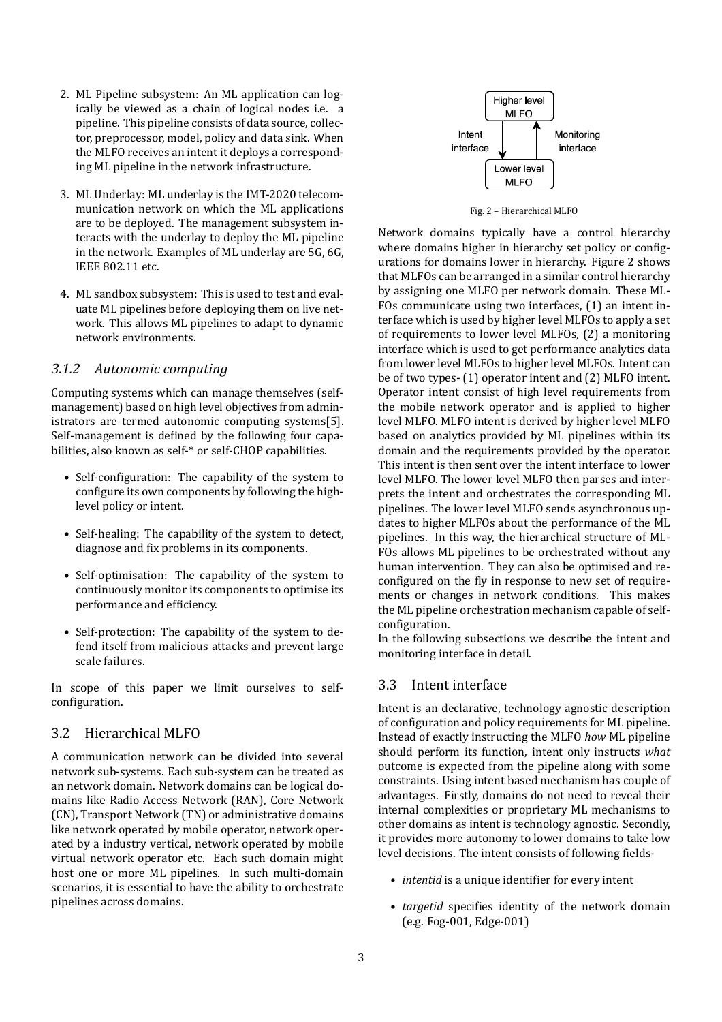- 2. ML Pipeline subsystem: An ML application can log‐ ically be viewed as a chain of logical nodes i.e. a pipeline. This pipeline consists of data source, collec‐ tor, preprocessor, model, policy and data sink. When the MLFO receives an intent it deploys a correspond‐ ing ML pipeline in the network infrastructure.
- 3. ML Underlay: ML underlay is the IMT‐2020 telecom‐ munication network on which the ML applications are to be deployed. The management subsystem in‐ teracts with the underlay to deploy the ML pipeline in the network. Examples of ML underlay are 5G, 6G, IEEE 802.11 etc.
- 4. ML sandbox subsystem: This is used to test and eval‐ uate ML pipelines before deploying them on live net‐ work. This allows ML pipelines to adapt to dynamic network environments.

#### *3.1.2 Autonomic computing*

Computing systems which can manage themselves (self‐ management) based on high level objectives from admin‐ istrators are termed autonomic computing systems[5]. Self-management is defined by the following four capabilities, also known as self‐\* or self‐CHOP capabilities.

- Self-configuration: The capability of the system to configure its own components by following the highlevel policy or intent.
- Self-healing: The capability of the system to detect, diagnose and fix problems in its components.
- Self-optimisation: The capability of the system to continuously monitor its components to optimise its performance and efficiency.
- Self-protection: The capability of the system to defend itself from malicious attacks and prevent large scale failures.

In scope of this paper we limit ourselves to selfconfiguration.

## 3.2 Hierarchical MLFO

A communication network can be divided into several network sub‐systems. Each sub‐system can be treated as an network domain. Network domains can be logical do‐ mains like Radio Access Network (RAN), Core Network (CN), Transport Network (TN) or administrative domains like network operated by mobile operator, network oper‐ ated by a industry vertical, network operated by mobile virtual network operator etc. Each such domain might host one or more ML pipelines. In such multi-domain scenarios, it is essential to have the ability to orchestrate pipelines across domains.



Fig. 2 – Hierarchical MLFO

Network domains typically have a control hierarchy where domains higher in hierarchy set policy or configurations for domains lower in hierarchy. Figure 2 shows that MLFOs can be arranged in a similar control hierarchy by assigning one MLFO per network domain. These ML‐ FOs communicate using two interfaces, (1) an intent in‐ terface which is used by higher level MLFOs to apply a set of requirements to lower level MLFOs, (2) a monitoring interface which is used to get performance analytics data from lower level MLFOs to higher level MLFOs. Intent can be of two types‐ (1) operator intent and (2) MLFO intent. Operator intent consist of high level requirements from the mobile network operator and is applied to higher level MLFO. MLFO intent is derived by higher level MLFO based on analytics provided by ML pipelines within its domain and the requirements provided by the operator. This intent is then sent over the intent interface to lower level MLFO. The lower level MLFO then parses and inter‐ prets the intent and orchestrates the corresponding ML pipelines. The lower level MLFO sends asynchronous up‐ dates to higher MLFOs about the performance of the ML pipelines. In this way, the hierarchical structure of ML‐ FOs allows ML pipelines to be orchestrated without any human intervention. They can also be optimised and re‐ configured on the fly in response to new set of requirements or changes in network conditions. This makes the ML pipeline orchestration mechanism capable of self‐ configuration.

In the following subsections we describe the intent and monitoring interface in detail.

### 3.3 Intent interface

Intent is an declarative, technology agnostic description of configuration and policy requirements for ML pipeline. Instead of exactly instructing the MLFO *how* ML pipeline should perform its function, intent only instructs *what* outcome is expected from the pipeline along with some constraints. Using intent based mechanism has couple of advantages. Firstly, domains do not need to reveal their internal complexities or proprietary ML mechanisms to other domains as intent is technology agnostic. Secondly, it provides more autonomy to lower domains to take low level decisions. The intent consists of following fields-

- *intentid* is a unique identifier for every intent
- *targetid* specifies identity of the network domain (e.g. Fog‐001, Edge‐001)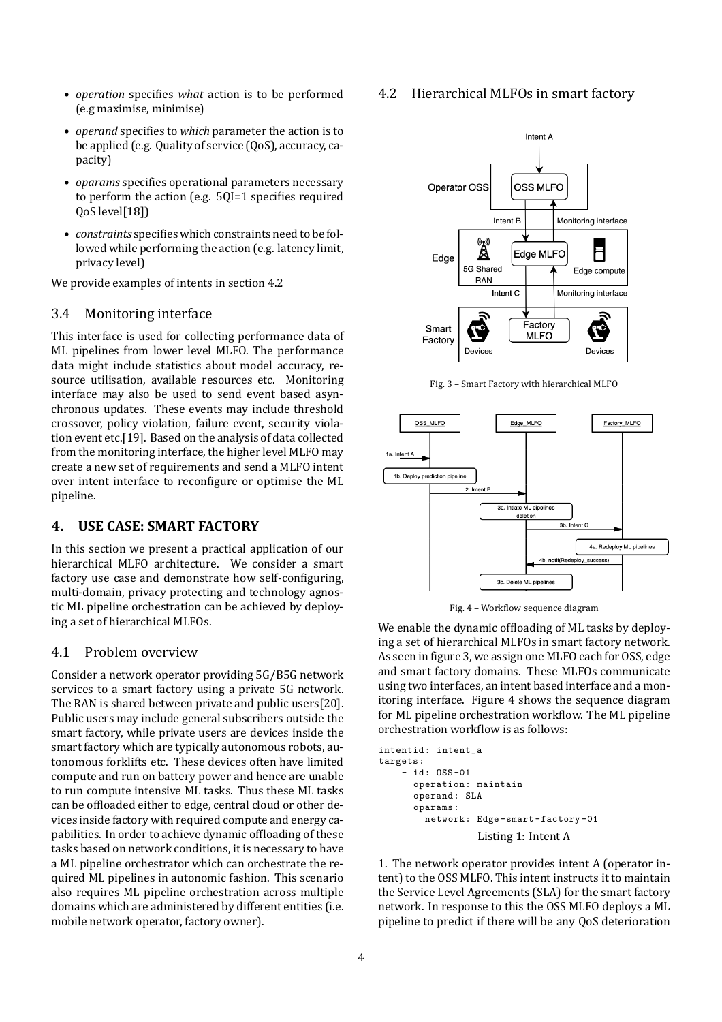- *operation* specifies *what* action is to be performed (e.g maximise, minimise)
- *operand* specifies to *which* parameter the action is to be applied (e.g. Quality of service (QoS), accuracy, capacity)
- *oparams* specifies operational parameters necessary to perform the action (e.g.  $50I=1$  specifies required QoS level[18])
- *constraints* specifies which constraints need to be followed while performing the action (e.g. latency limit, privacy level)

We provide examples of intents in section 4.2

#### 3.4 Monitoring interface

This interface is used for collecting performance data of ML pipelines from lower level MLFO. The performance data might include statistics about model accuracy, re‐ source utilisation, available resources etc. Monitoring interface may also be used to send event based asynchronous updates. These events may include threshold crossover, policy violation, failure event, security viola‐ tion event etc.[19]. Based on the analysis of data collected from the monitoring interface, the higher level MLFO may create a new set of requirements and send a MLFO intent over intent interface to reconfigure or optimise the ML pipeline.

## **4. USE CASE: SMART FACTORY**

In this section we present a practical application of our hierarchical MLFO architecture. We consider a smart factory use case and demonstrate how self-configuring, multi-domain, privacy protecting and technology agnostic ML pipeline orchestration can be achieved by deploy‐ ing a set of hierarchical MLFOs.

#### 4.1 Problem overview

Consider a network operator providing 5G/B5G network services to a smart factory using a private 5G network. The RAN is shared between private and public users[20]. Public users may include general subscribers outside the smart factory, while private users are devices inside the smart factory which are typically autonomous robots, autonomous forklifts etc. These devices often have limited compute and run on battery power and hence are unable to run compute intensive ML tasks. Thus these ML tasks can be offloaded either to edge, central cloud or other devices inside factory with required compute and energy ca‐ pabilities. In order to achieve dynamic offloading of these tasks based on network conditions, it is necessary to have a ML pipeline orchestrator which can orchestrate the re‐ quired ML pipelines in autonomic fashion. This scenario also requires ML pipeline orchestration across multiple domains which are administered by different entities (i.e. mobile network operator, factory owner).

### 4.2 Hierarchical MLFOs in smart factory



Fig. 3 – Smart Factory with hierarchical MLFO



Fig. 4 - Workflow sequence diagram

We enable the dynamic offloading of ML tasks by deploying a set of hierarchical MLFOs in smart factory network. As seen in figure 3, we assign one MLFO each for OSS, edge and smart factory domains. These MLFOs communicate using two interfaces, an intent based interface and a monitoring interface. Figure 4 shows the sequence diagram for ML pipeline orchestration workflow. The ML pipeline orchestration workflow is as follows:

```
intentid: intent a
targets:
    - id: OSS-01
      operation: maintain
      operand: SLA
      oparams:
        network: Edge-smart-factory-01
                  Listing 1: Intent A
```
1. The network operator provides intent A (operator in‐ tent) to the OSS MLFO. This intent instructs it to maintain the Service Level Agreements (SLA) for the smart factory network. In response to this the OSS MLFO deploys a ML pipeline to predict if there will be any QoS deterioration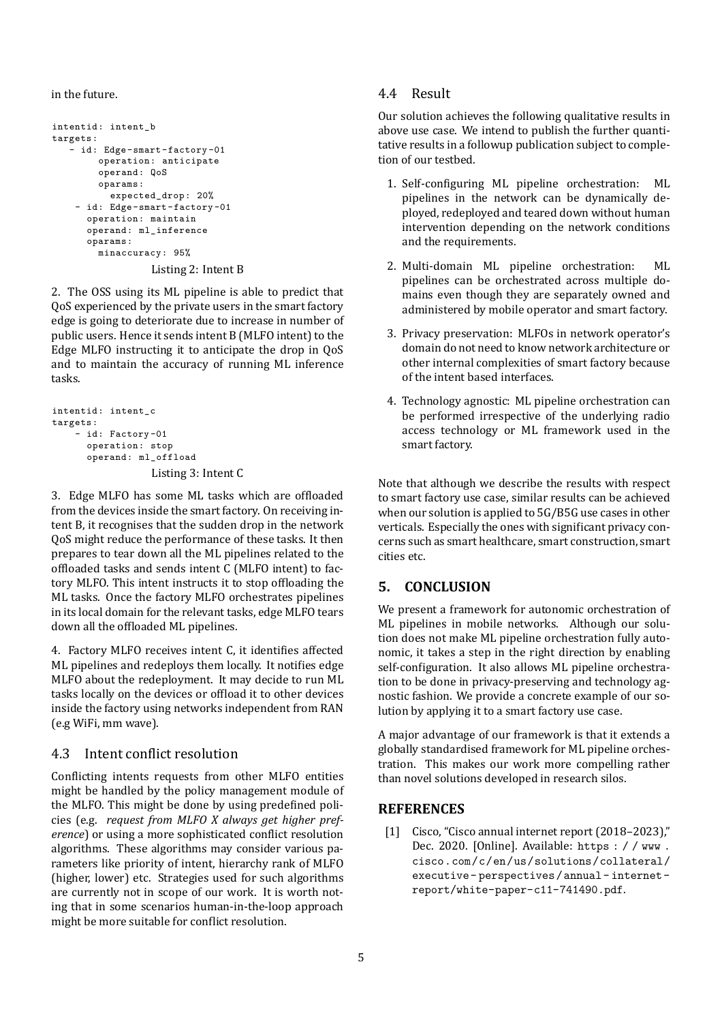in the future.

```
intentid: intent_b
targets:
    id: Edge-smart-factory-01
        operation: anticipate
        operand: QoS
        oparams:
          expected drop: 20%
    - id: Edge-smart-factory-01
      operation: maintain
      operand: ml_inference
      oparams:
        minaccuracy: 95%
                 Listing 2: Intent B
```
2. The OSS using its ML pipeline is able to predict that QoS experienced by the private users in the smart factory edge is going to deteriorate due to increase in number of public users. Hence it sends intent B (MLFO intent) to the Edge MLFO instructing it to anticipate the drop in QoS and to maintain the accuracy of running ML inference tasks.

```
intentid: intent_c
targets:
    - id: Factory -01operation: stop
      operand: ml_offload
                  Listing 3: Intent C
```
3. Edge MLFO has some ML tasks which are offloaded from the devices inside the smart factory. On receiving in‐ tent B, it recognises that the sudden drop in the network QoS might reduce the performance of these tasks. It then prepares to tear down all the ML pipelines related to the offloaded tasks and sends intent C (MLFO intent) to factory MLFO. This intent instructs it to stop offloading the ML tasks. Once the factory MLFO orchestrates pipelines in its local domain for the relevant tasks, edge MLFO tears down all the offloaded ML pipelines.

4. Factory MLFO receives intent C, it identifies affected ML pipelines and redeploys them locally. It notifies edge MLFO about the redeployment. It may decide to run ML tasks locally on the devices or offload it to other devices inside the factory using networks independent from RAN (e.g WiFi, mm wave).

## 4.3 Intent conflict resolution

Conflicting intents requests from other MLFO entities might be handled by the policy management module of the MLFO. This might be done by using predefined policies (e.g. *request from MLFO X always get higher pref‐ erence*) or using a more sophisticated conflict resolution algorithms. These algorithms may consider various pa‐ rameters like priority of intent, hierarchy rank of MLFO (higher, lower) etc. Strategies used for such algorithms are currently not in scope of our work. It is worth noting that in some scenarios human‐in‐the‐loop approach might be more suitable for conflict resolution.

## 4.4 Result

Our solution achieves the following qualitative results in above use case. We intend to publish the further quanti‐ tative results in a followup publication subject to comple‐ tion of our testbed.

- 1. Self-configuring ML pipeline orchestration: ML pipelines in the network can be dynamically de‐ ployed, redeployed and teared down without human intervention depending on the network conditions and the requirements.
- 2. Multi‐domain ML pipeline orchestration: ML pipelines can be orchestrated across multiple do‐ mains even though they are separately owned and administered by mobile operator and smart factory.
- 3. Privacy preservation: MLFOs in network operator's domain do not need to know network architecture or other internal complexities of smart factory because of the intent based interfaces.
- 4. Technology agnostic: ML pipeline orchestration can be performed irrespective of the underlying radio access technology or ML framework used in the smart factory.

Note that although we describe the results with respect to smart factory use case, similar results can be achieved when our solution is applied to 5G/B5G use cases in other verticals. Especially the ones with significant privacy concerns such as smart healthcare, smart construction, smart cities etc.

## **5. CONCLUSION**

We present a framework for autonomic orchestration of ML pipelines in mobile networks. Although our solu‐ tion does not make ML pipeline orchestration fully auto‐ nomic, it takes a step in the right direction by enabling self-configuration. It also allows ML pipeline orchestration to be done in privacy-preserving and technology agnostic fashion. We provide a concrete example of our solution by applying it to a smart factory use case.

A major advantage of our framework is that it extends a globally standardised framework for ML pipeline orches‐ tration. This makes our work more compelling rather than novel solutions developed in research silos.

### **REFERENCES**

[1] Cisco, "Cisco annual internet report (2018–2023)," Dec. 2020. [Online]. Available:  $https://www.$ cisco.com/c/en/us/solutions/collateral/ executive-perspectives/annual-internetreport/white-paper-c11-741490.pdf.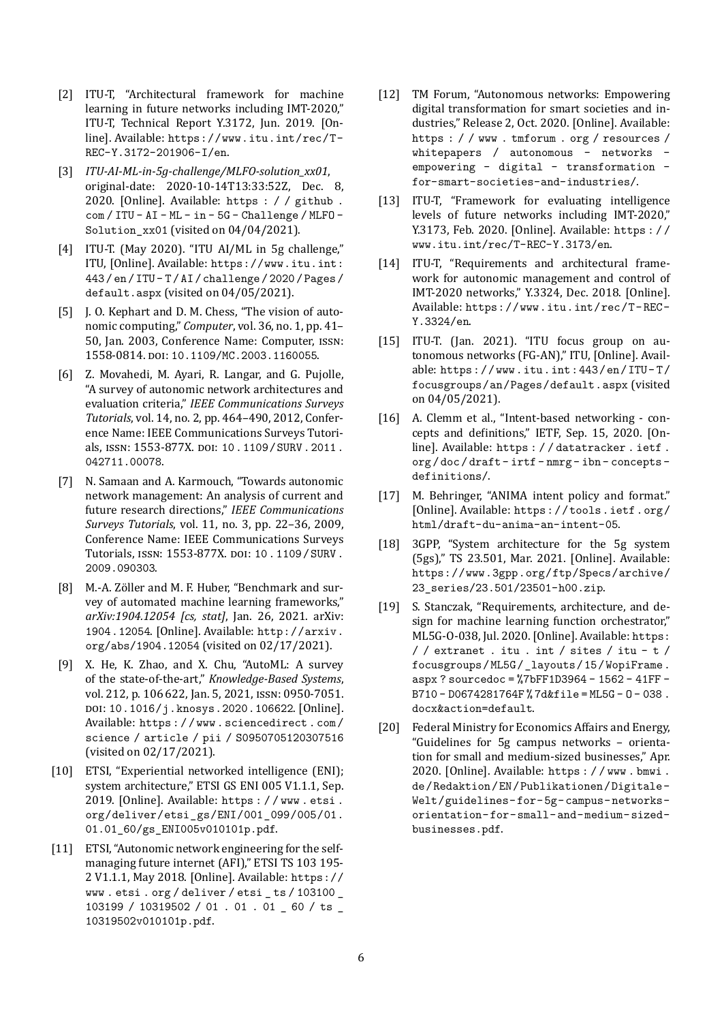- [2] ITU-T, "Architectural framework for machine learning in future networks including IMT‐2020," ITU‐T, Technical Report Y.3172, Jun. 2019. [On‐ line]. Available: https://www.itu.int/rec/T-REC-Y.3172-201906-I/en.
- [3] *ITU‐AI‐ML‐in‐5g‐challenge/MLFO‐solution\_xx01*, original‐date: 2020‐10‐14T13:33:52Z, Dec. 8, 2020. [Online]. Available: https : / / github.  $com / ITU - AI - ML - in - 5G - Challenge / MLFO -$ Solution\_xx01 (visited on  $04/04/2021$ ).
- [4] ITU-T. (May 2020). "ITU AI/ML in 5g challenge," ITU, [Online]. Available: https://www.itu.int: 443/en/ITU-T/AI/challenge/2020/Pages/  $default.argv (visited on  $04/05/2021$ ).$
- [5] J. O. Kephart and D. M. Chess, "The vision of autonomic computing," *Computer*, vol. 36, no. 1, pp. 41– 50, Jan. 2003, Conference Name: Computer, ISSN: 1558-0814. DOI: 10.1109/MC.2003.1160055.
- [6] Z. Movahedi, M. Ayari, R. Langar, and G. Pujolle, "A survey of autonomic network architectures and evaluation criteria," *IEEE Communications Surveys Tutorials*, vol. 14, no. 2, pp. 464–490, 2012, Confer‐ ence Name: IEEE Communications Surveys Tutori‐ als, ISSN: 1553-877X. DOI: 10.1109/SURV.2011. 042711.00078.
- [7] N. Samaan and A. Karmouch, "Towards autonomic network management: An analysis of current and future research directions," *IEEE Communications Surveys Tutorials*, vol. 11, no. 3, pp. 22–36, 2009, Conference Name: IEEE Communications Surveys Tutorials, ISSN: 1553-877X. DOI: 10. 1109 / SURV. 2009.090303.
- [8] M.-A. Zöller and M. F. Huber, "Benchmark and survey of automated machine learning frameworks," *arXiv:1904.12054 [cs, stat]*, Jan. 26, 2021. arXiv: 1904. 12054. [Online]. Available: http://arxiv. org/abs/1904.12054 (visited on 02/17/2021).
- [9] X. He, K. Zhao, and X. Chu, "AutoML: A survey of the state‐of‐the‐art," *Knowledge‐Based Systems*, vol. 212, p. 106 622, Jan. 5, 2021, ISSN: 0950‐7051. DOI: 10.1016/j.knosys. 2020. 106622. [Online]. Available: https://www.sciencedirect.com/ science / article / pii / S0950705120307516 (visited on 02/17/2021).
- [10] ETSI, "Experiential networked intelligence (ENI); system architecture," ETSI GS ENI 005 V1.1.1, Sep. 2019. [Online]. Available: https://www.etsi. org/deliver/etsi\_gs/ENI/001\_099/005/01. 01.01\_60/gs\_ENI005v010101p.pdf.
- [11] ETSI, "Autonomic network engineering for the selfmanaging future internet (AFI)," ETSI TS 103 195‐ 2 V1.1.1, May 2018. [Online]. Available:  $https://$  ${\tt www.etsi.org/delta/}$  / etsi\_ts / 103100  $\_$ 103199 / 10319502 / 01 . 01 . 01  $\_$  60 / ts  $\_$ 10319502v010101p.pdf.
- [12] TM Forum, "Autonomous networks: Empowering digital transformation for smart societies and in‐ dustries," Release 2, Oct. 2020. [Online]. Available: https : / / www . tmforum . org / resources / whitepapers / autonomous - networks empowering - digital - transformation for-smart-societies-and-industries/.
- [13] ITU-T, "Framework for evaluating intelligence levels of future networks including IMT‐2020," Y.3173, Feb. 2020. [Online]. Available: https:// www.itu.int/rec/T-REC-Y.3173/en.
- [14] ITU-T, "Requirements and architectural framework for autonomic management and control of IMT‐2020 networks," Y.3324, Dec. 2018. [Online]. Available: https://www.itu.int/rec/T-REC-Y.3324/en.
- [15] ITU-T. (Jan. 2021). "ITU focus group on autonomous networks (FG‐AN)," ITU, [Online]. Avail‐ able: https://www.itu.int:443/en/ITU-T/ focusgroups/an/Pages/default.aspx (visited on 04/05/2021).
- [16] A. Clemm et al., "Intent-based networking concepts and definitions," IETF, Sep. 15, 2020. [Online]. Available: https : //datatracker.ietf. org/doc/draft-irtf-nmrg-ibn-conceptsdefinitions/.
- [17] M. Behringer, "ANIMA intent policy and format." [Online]. Available: https://tools.ietf.org/ html/draft-du-anima-an-intent-05.
- [18] 3GPP, "System architecture for the 5g system (5gs)," TS 23.501, Mar. 2021. [Online]. Available: https://www.3gpp.org/ftp/Specs/archive/ 23\_series/23.501/23501-h00.zip.
- [19] S. Stanczak, "Requirements, architecture, and design for machine learning function orchestrator," ML5G-O-038, Jul. 2020. [Online]. Available: https:  $f /$  extranet . itu . int / sites / itu - t / focusgroups/ML5G/\_layouts/15/WopiFrame.  $aspx$ ? sourcedoc = %7bFF1D3964 - 1562 - 41FF - $B710 - D0674281764F$ %  $7d$ &file = ML5G - 0 - 038. docx&action=default.
- [20] Federal Ministry for Economics Affairs and Energy, "Guidelines for 5g campus networks – orienta‐ tion for small and medium‐sized businesses," Apr. 2020. [Online]. Available: https://www.bmwi. de/Redaktion/EN/Publikationen/Digitale-Welt/guidelines-for-5g-campus-networksorientation-for-small-and-medium-sizedbusinesses.pdf.